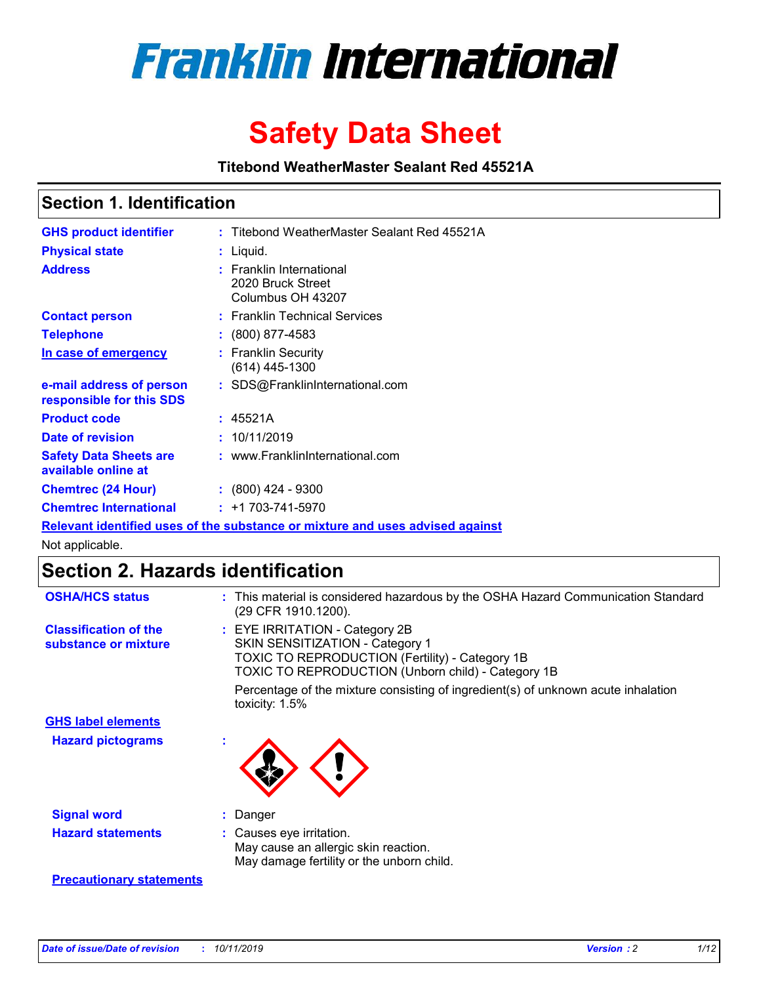

# **Safety Data Sheet**

**Titebond WeatherMaster Sealant Red 45521A**

### **Section 1. Identification**

| <b>GHS product identifier</b>                                                 |  | : Titebond WeatherMaster Sealant Red 45521A                        |  |  |  |
|-------------------------------------------------------------------------------|--|--------------------------------------------------------------------|--|--|--|
| <b>Physical state</b>                                                         |  | : Liquid.                                                          |  |  |  |
| <b>Address</b>                                                                |  | : Franklin International<br>2020 Bruck Street<br>Columbus OH 43207 |  |  |  |
| <b>Contact person</b>                                                         |  | : Franklin Technical Services                                      |  |  |  |
| <b>Telephone</b>                                                              |  | $\div$ (800) 877-4583                                              |  |  |  |
| In case of emergency                                                          |  | : Franklin Security<br>$(614)$ 445-1300                            |  |  |  |
| e-mail address of person<br>responsible for this SDS                          |  | : SDS@FranklinInternational.com                                    |  |  |  |
| <b>Product code</b>                                                           |  | : 45521A                                                           |  |  |  |
| Date of revision                                                              |  | : 10/11/2019                                                       |  |  |  |
| <b>Safety Data Sheets are</b><br>available online at                          |  | : www.FranklinInternational.com                                    |  |  |  |
| <b>Chemtrec (24 Hour)</b>                                                     |  | $\div$ (800) 424 - 9300                                            |  |  |  |
| <b>Chemtrec International</b>                                                 |  | $: +1703 - 741 - 5970$                                             |  |  |  |
| Relevant identified uses of the substance or mixture and uses advised against |  |                                                                    |  |  |  |

Not applicable.

## **Section 2. Hazards identification**

| <b>OSHA/HCS status</b>                               | : This material is considered hazardous by the OSHA Hazard Communication Standard<br>(29 CFR 1910.1200).                                                                                 |
|------------------------------------------------------|------------------------------------------------------------------------------------------------------------------------------------------------------------------------------------------|
| <b>Classification of the</b><br>substance or mixture | : EYE IRRITATION - Category 2B<br>SKIN SENSITIZATION - Category 1<br><b>TOXIC TO REPRODUCTION (Fertility) - Category 1B</b><br><b>TOXIC TO REPRODUCTION (Unborn child) - Category 1B</b> |
|                                                      | Percentage of the mixture consisting of ingredient(s) of unknown acute inhalation<br>toxicity: $1.5\%$                                                                                   |
| <b>GHS label elements</b>                            |                                                                                                                                                                                          |
| <b>Hazard pictograms</b>                             |                                                                                                                                                                                          |
| <b>Signal word</b>                                   | : Danger                                                                                                                                                                                 |
| <b>Hazard statements</b>                             | : Causes eye irritation.<br>May cause an allergic skin reaction.<br>May damage fertility or the unborn child.                                                                            |
| <b>Precautionary statements</b>                      |                                                                                                                                                                                          |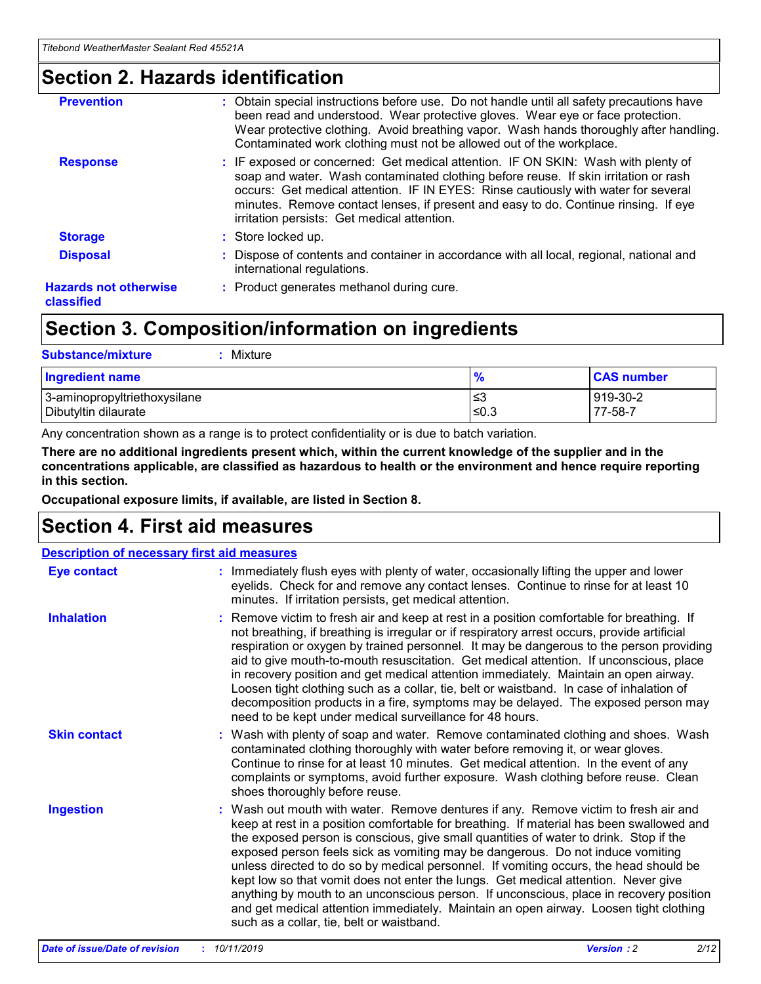### **Section 2. Hazards identification**

| <b>Prevention</b>                          | : Obtain special instructions before use. Do not handle until all safety precautions have<br>been read and understood. Wear protective gloves. Wear eye or face protection.<br>Wear protective clothing. Avoid breathing vapor. Wash hands thoroughly after handling.<br>Contaminated work clothing must not be allowed out of the workplace.                                                        |
|--------------------------------------------|------------------------------------------------------------------------------------------------------------------------------------------------------------------------------------------------------------------------------------------------------------------------------------------------------------------------------------------------------------------------------------------------------|
| <b>Response</b>                            | : IF exposed or concerned: Get medical attention. IF ON SKIN: Wash with plenty of<br>soap and water. Wash contaminated clothing before reuse. If skin irritation or rash<br>occurs: Get medical attention. IF IN EYES: Rinse cautiously with water for several<br>minutes. Remove contact lenses, if present and easy to do. Continue rinsing. If eye<br>irritation persists: Get medical attention. |
| <b>Storage</b>                             | : Store locked up.                                                                                                                                                                                                                                                                                                                                                                                   |
| <b>Disposal</b>                            | : Dispose of contents and container in accordance with all local, regional, national and<br>international regulations.                                                                                                                                                                                                                                                                               |
| <b>Hazards not otherwise</b><br>classified | : Product generates methanol during cure.                                                                                                                                                                                                                                                                                                                                                            |
|                                            |                                                                                                                                                                                                                                                                                                                                                                                                      |

### **Section 3. Composition/information on ingredients**

| <b>Substance/mixture</b><br>Mixture                  |                   |                     |
|------------------------------------------------------|-------------------|---------------------|
| <b>Ingredient name</b>                               | $\frac{9}{6}$     | <b>CAS number</b>   |
| 3-aminopropyltriethoxysilane<br>Dibutyltin dilaurate | l≤3<br>$\leq 0.3$ | 919-30-2<br>77-58-7 |

Any concentration shown as a range is to protect confidentiality or is due to batch variation.

**There are no additional ingredients present which, within the current knowledge of the supplier and in the concentrations applicable, are classified as hazardous to health or the environment and hence require reporting in this section.**

**Occupational exposure limits, if available, are listed in Section 8.**

### **Section 4. First aid measures**

| <b>Description of necessary first aid measures</b> |                                                                                                                                                                                                                                                                                                                                                                                                                                                                                                                                                                                                                                                                                                                                                                           |  |  |  |
|----------------------------------------------------|---------------------------------------------------------------------------------------------------------------------------------------------------------------------------------------------------------------------------------------------------------------------------------------------------------------------------------------------------------------------------------------------------------------------------------------------------------------------------------------------------------------------------------------------------------------------------------------------------------------------------------------------------------------------------------------------------------------------------------------------------------------------------|--|--|--|
| <b>Eye contact</b>                                 | : Immediately flush eyes with plenty of water, occasionally lifting the upper and lower<br>eyelids. Check for and remove any contact lenses. Continue to rinse for at least 10<br>minutes. If irritation persists, get medical attention.                                                                                                                                                                                                                                                                                                                                                                                                                                                                                                                                 |  |  |  |
| <b>Inhalation</b>                                  | : Remove victim to fresh air and keep at rest in a position comfortable for breathing. If<br>not breathing, if breathing is irregular or if respiratory arrest occurs, provide artificial<br>respiration or oxygen by trained personnel. It may be dangerous to the person providing<br>aid to give mouth-to-mouth resuscitation. Get medical attention. If unconscious, place<br>in recovery position and get medical attention immediately. Maintain an open airway.<br>Loosen tight clothing such as a collar, tie, belt or waistband. In case of inhalation of<br>decomposition products in a fire, symptoms may be delayed. The exposed person may<br>need to be kept under medical surveillance for 48 hours.                                                       |  |  |  |
| <b>Skin contact</b>                                | : Wash with plenty of soap and water. Remove contaminated clothing and shoes. Wash<br>contaminated clothing thoroughly with water before removing it, or wear gloves.<br>Continue to rinse for at least 10 minutes. Get medical attention. In the event of any<br>complaints or symptoms, avoid further exposure. Wash clothing before reuse. Clean<br>shoes thoroughly before reuse.                                                                                                                                                                                                                                                                                                                                                                                     |  |  |  |
| <b>Ingestion</b>                                   | : Wash out mouth with water. Remove dentures if any. Remove victim to fresh air and<br>keep at rest in a position comfortable for breathing. If material has been swallowed and<br>the exposed person is conscious, give small quantities of water to drink. Stop if the<br>exposed person feels sick as vomiting may be dangerous. Do not induce vomiting<br>unless directed to do so by medical personnel. If vomiting occurs, the head should be<br>kept low so that vomit does not enter the lungs. Get medical attention. Never give<br>anything by mouth to an unconscious person. If unconscious, place in recovery position<br>and get medical attention immediately. Maintain an open airway. Loosen tight clothing<br>such as a collar, tie, belt or waistband. |  |  |  |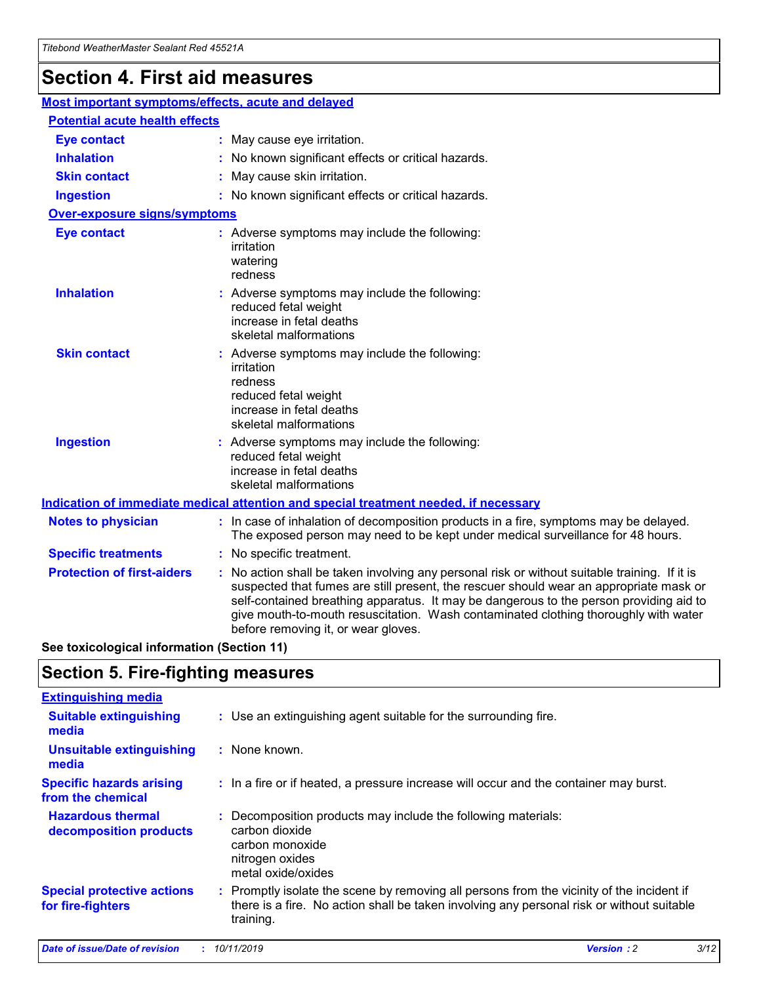## **Section 4. First aid measures**

| Most important symptoms/effects, acute and delayed |  |                                                                                                                                                                                                                                                                                                                                                                                                                 |
|----------------------------------------------------|--|-----------------------------------------------------------------------------------------------------------------------------------------------------------------------------------------------------------------------------------------------------------------------------------------------------------------------------------------------------------------------------------------------------------------|
| <b>Potential acute health effects</b>              |  |                                                                                                                                                                                                                                                                                                                                                                                                                 |
| <b>Eye contact</b>                                 |  | : May cause eye irritation.                                                                                                                                                                                                                                                                                                                                                                                     |
| <b>Inhalation</b>                                  |  | : No known significant effects or critical hazards.                                                                                                                                                                                                                                                                                                                                                             |
| <b>Skin contact</b>                                |  | : May cause skin irritation.                                                                                                                                                                                                                                                                                                                                                                                    |
| <b>Ingestion</b>                                   |  | : No known significant effects or critical hazards.                                                                                                                                                                                                                                                                                                                                                             |
| <b>Over-exposure signs/symptoms</b>                |  |                                                                                                                                                                                                                                                                                                                                                                                                                 |
| <b>Eye contact</b>                                 |  | : Adverse symptoms may include the following:<br>irritation<br>watering<br>redness                                                                                                                                                                                                                                                                                                                              |
| <b>Inhalation</b>                                  |  | : Adverse symptoms may include the following:<br>reduced fetal weight<br>increase in fetal deaths<br>skeletal malformations                                                                                                                                                                                                                                                                                     |
| <b>Skin contact</b>                                |  | : Adverse symptoms may include the following:<br>irritation<br>redness<br>reduced fetal weight<br>increase in fetal deaths<br>skeletal malformations                                                                                                                                                                                                                                                            |
| <b>Ingestion</b>                                   |  | : Adverse symptoms may include the following:<br>reduced fetal weight<br>increase in fetal deaths<br>skeletal malformations                                                                                                                                                                                                                                                                                     |
|                                                    |  | <b>Indication of immediate medical attention and special treatment needed, if necessary</b>                                                                                                                                                                                                                                                                                                                     |
| <b>Notes to physician</b>                          |  | : In case of inhalation of decomposition products in a fire, symptoms may be delayed.<br>The exposed person may need to be kept under medical surveillance for 48 hours.                                                                                                                                                                                                                                        |
| <b>Specific treatments</b>                         |  | : No specific treatment.                                                                                                                                                                                                                                                                                                                                                                                        |
| <b>Protection of first-aiders</b>                  |  | : No action shall be taken involving any personal risk or without suitable training. If it is<br>suspected that fumes are still present, the rescuer should wear an appropriate mask or<br>self-contained breathing apparatus. It may be dangerous to the person providing aid to<br>give mouth-to-mouth resuscitation. Wash contaminated clothing thoroughly with water<br>before removing it, or wear gloves. |

**See toxicological information (Section 11)**

### **Section 5. Fire-fighting measures**

| <b>Extinguishing media</b>                             |                                                                                                                                                                                                     |
|--------------------------------------------------------|-----------------------------------------------------------------------------------------------------------------------------------------------------------------------------------------------------|
| <b>Suitable extinguishing</b><br>media                 | : Use an extinguishing agent suitable for the surrounding fire.                                                                                                                                     |
| <b>Unsuitable extinguishing</b><br>media               | $:$ None known.                                                                                                                                                                                     |
| <b>Specific hazards arising</b><br>from the chemical   | : In a fire or if heated, a pressure increase will occur and the container may burst.                                                                                                               |
| <b>Hazardous thermal</b><br>decomposition products     | : Decomposition products may include the following materials:<br>carbon dioxide<br>carbon monoxide<br>nitrogen oxides<br>metal oxide/oxides                                                         |
| <b>Special protective actions</b><br>for fire-fighters | : Promptly isolate the scene by removing all persons from the vicinity of the incident if<br>there is a fire. No action shall be taken involving any personal risk or without suitable<br>training. |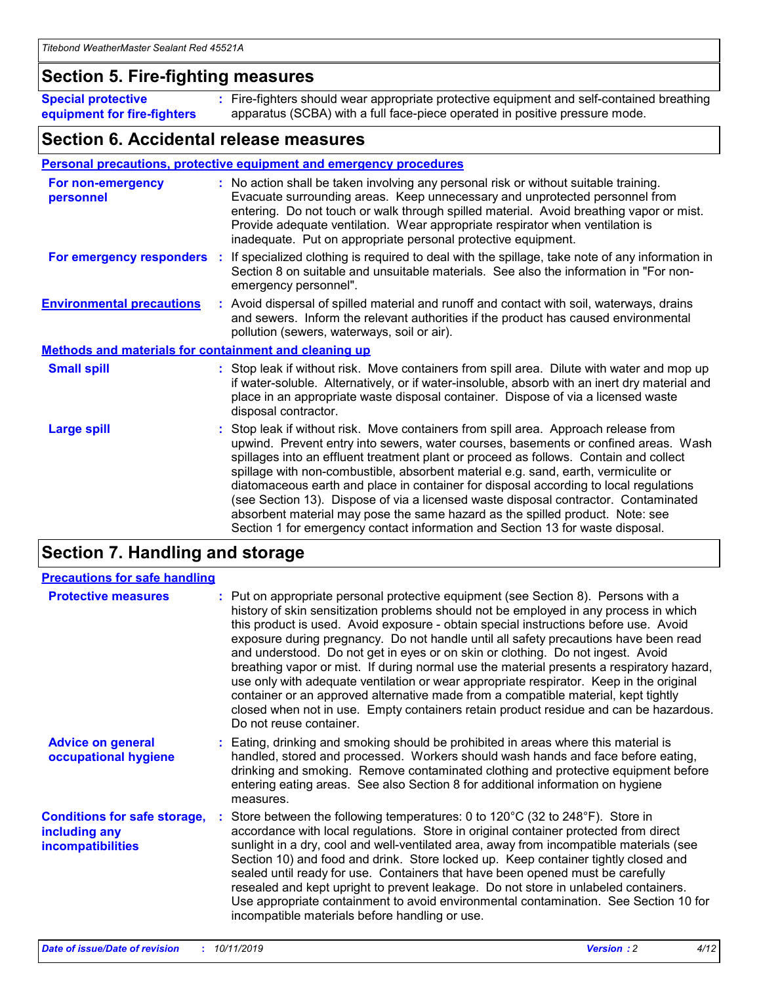### **Section 5. Fire-fighting measures**

**Special protective equipment for fire-fighters** Fire-fighters should wear appropriate protective equipment and self-contained breathing **:** apparatus (SCBA) with a full face-piece operated in positive pressure mode.

### **Section 6. Accidental release measures**

#### **Personal precautions, protective equipment and emergency procedures**

| For non-emergency<br>personnel   |                                                              | : No action shall be taken involving any personal risk or without suitable training.<br>Evacuate surrounding areas. Keep unnecessary and unprotected personnel from<br>entering. Do not touch or walk through spilled material. Avoid breathing vapor or mist.<br>Provide adequate ventilation. Wear appropriate respirator when ventilation is<br>inadequate. Put on appropriate personal protective equipment.                                                                                                                                                                                                                                                                                             |  |  |  |
|----------------------------------|--------------------------------------------------------------|--------------------------------------------------------------------------------------------------------------------------------------------------------------------------------------------------------------------------------------------------------------------------------------------------------------------------------------------------------------------------------------------------------------------------------------------------------------------------------------------------------------------------------------------------------------------------------------------------------------------------------------------------------------------------------------------------------------|--|--|--|
|                                  |                                                              | For emergency responders : If specialized clothing is required to deal with the spillage, take note of any information in<br>Section 8 on suitable and unsuitable materials. See also the information in "For non-<br>emergency personnel".                                                                                                                                                                                                                                                                                                                                                                                                                                                                  |  |  |  |
| <b>Environmental precautions</b> |                                                              | : Avoid dispersal of spilled material and runoff and contact with soil, waterways, drains<br>and sewers. Inform the relevant authorities if the product has caused environmental<br>pollution (sewers, waterways, soil or air).                                                                                                                                                                                                                                                                                                                                                                                                                                                                              |  |  |  |
|                                  | <b>Methods and materials for containment and cleaning up</b> |                                                                                                                                                                                                                                                                                                                                                                                                                                                                                                                                                                                                                                                                                                              |  |  |  |
| <b>Small spill</b>               |                                                              | : Stop leak if without risk. Move containers from spill area. Dilute with water and mop up<br>if water-soluble. Alternatively, or if water-insoluble, absorb with an inert dry material and<br>place in an appropriate waste disposal container. Dispose of via a licensed waste<br>disposal contractor.                                                                                                                                                                                                                                                                                                                                                                                                     |  |  |  |
| <b>Large spill</b>               |                                                              | : Stop leak if without risk. Move containers from spill area. Approach release from<br>upwind. Prevent entry into sewers, water courses, basements or confined areas. Wash<br>spillages into an effluent treatment plant or proceed as follows. Contain and collect<br>spillage with non-combustible, absorbent material e.g. sand, earth, vermiculite or<br>diatomaceous earth and place in container for disposal according to local regulations<br>(see Section 13). Dispose of via a licensed waste disposal contractor. Contaminated<br>absorbent material may pose the same hazard as the spilled product. Note: see<br>Section 1 for emergency contact information and Section 13 for waste disposal. |  |  |  |

### **Section 7. Handling and storage**

| <b>Precautions for safe handling</b>                                             |                                                                                                                                                                                                                                                                                                                                                                                                                                                                                                                                                                                                                                                                                                                                                                                                                                                  |
|----------------------------------------------------------------------------------|--------------------------------------------------------------------------------------------------------------------------------------------------------------------------------------------------------------------------------------------------------------------------------------------------------------------------------------------------------------------------------------------------------------------------------------------------------------------------------------------------------------------------------------------------------------------------------------------------------------------------------------------------------------------------------------------------------------------------------------------------------------------------------------------------------------------------------------------------|
| <b>Protective measures</b>                                                       | : Put on appropriate personal protective equipment (see Section 8). Persons with a<br>history of skin sensitization problems should not be employed in any process in which<br>this product is used. Avoid exposure - obtain special instructions before use. Avoid<br>exposure during pregnancy. Do not handle until all safety precautions have been read<br>and understood. Do not get in eyes or on skin or clothing. Do not ingest. Avoid<br>breathing vapor or mist. If during normal use the material presents a respiratory hazard,<br>use only with adequate ventilation or wear appropriate respirator. Keep in the original<br>container or an approved alternative made from a compatible material, kept tightly<br>closed when not in use. Empty containers retain product residue and can be hazardous.<br>Do not reuse container. |
| <b>Advice on general</b><br>occupational hygiene                                 | : Eating, drinking and smoking should be prohibited in areas where this material is<br>handled, stored and processed. Workers should wash hands and face before eating,<br>drinking and smoking. Remove contaminated clothing and protective equipment before<br>entering eating areas. See also Section 8 for additional information on hygiene<br>measures.                                                                                                                                                                                                                                                                                                                                                                                                                                                                                    |
| <b>Conditions for safe storage,</b><br>including any<br><b>incompatibilities</b> | Store between the following temperatures: 0 to 120 $\degree$ C (32 to 248 $\degree$ F). Store in<br>accordance with local regulations. Store in original container protected from direct<br>sunlight in a dry, cool and well-ventilated area, away from incompatible materials (see<br>Section 10) and food and drink. Store locked up. Keep container tightly closed and<br>sealed until ready for use. Containers that have been opened must be carefully<br>resealed and kept upright to prevent leakage. Do not store in unlabeled containers.<br>Use appropriate containment to avoid environmental contamination. See Section 10 for<br>incompatible materials before handling or use.                                                                                                                                                     |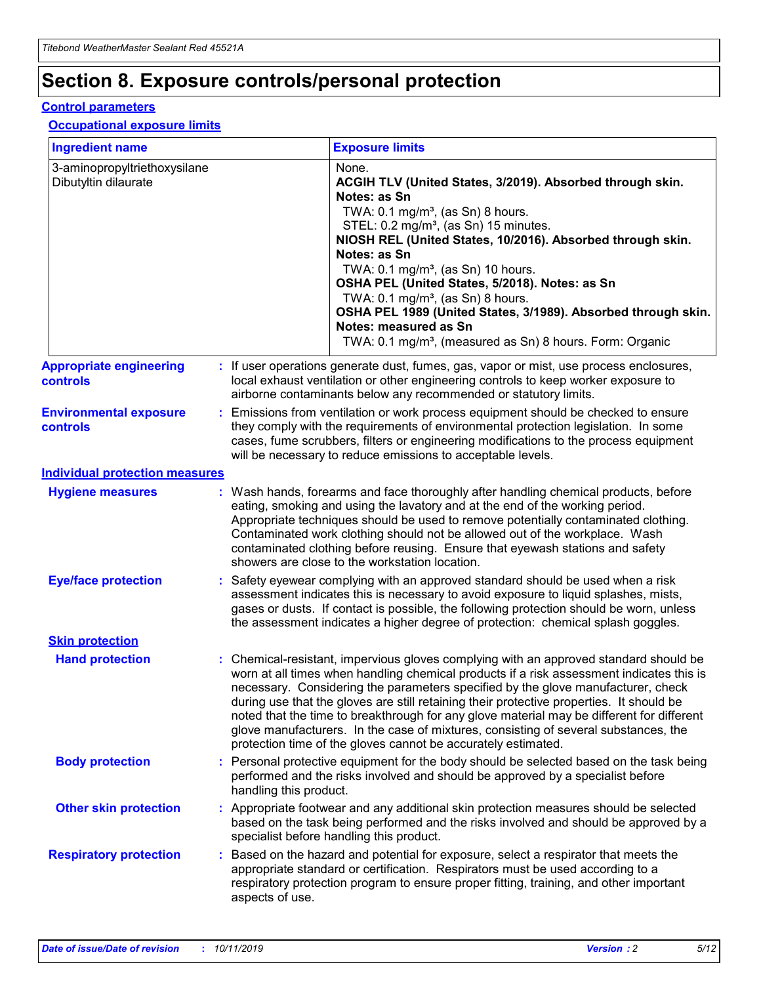## **Section 8. Exposure controls/personal protection**

#### **Control parameters**

#### **Occupational exposure limits**

| <b>Ingredient name</b>                               |    |                                          | <b>Exposure limits</b>                                                                                                                                                                                                                                                                                                                                                                                                                                                                                                                                                                                                 |
|------------------------------------------------------|----|------------------------------------------|------------------------------------------------------------------------------------------------------------------------------------------------------------------------------------------------------------------------------------------------------------------------------------------------------------------------------------------------------------------------------------------------------------------------------------------------------------------------------------------------------------------------------------------------------------------------------------------------------------------------|
| 3-aminopropyltriethoxysilane<br>Dibutyltin dilaurate |    |                                          | None.<br>ACGIH TLV (United States, 3/2019). Absorbed through skin.<br>Notes: as Sn<br>TWA: 0.1 mg/m <sup>3</sup> , (as Sn) 8 hours.<br>STEL: 0.2 mg/m <sup>3</sup> , (as Sn) 15 minutes.<br>NIOSH REL (United States, 10/2016). Absorbed through skin.<br>Notes: as Sn<br>TWA: 0.1 mg/m <sup>3</sup> , (as Sn) 10 hours.<br>OSHA PEL (United States, 5/2018). Notes: as Sn<br>TWA: $0.1 \text{ mg/m}^3$ , (as Sn) 8 hours.<br>OSHA PEL 1989 (United States, 3/1989). Absorbed through skin.<br>Notes: measured as Sn<br>TWA: 0.1 mg/m <sup>3</sup> , (measured as Sn) 8 hours. Form: Organic                           |
| <b>Appropriate engineering</b><br>controls           |    |                                          | : If user operations generate dust, fumes, gas, vapor or mist, use process enclosures,<br>local exhaust ventilation or other engineering controls to keep worker exposure to<br>airborne contaminants below any recommended or statutory limits.                                                                                                                                                                                                                                                                                                                                                                       |
| <b>Environmental exposure</b><br><b>controls</b>     |    |                                          | Emissions from ventilation or work process equipment should be checked to ensure<br>they comply with the requirements of environmental protection legislation. In some<br>cases, fume scrubbers, filters or engineering modifications to the process equipment<br>will be necessary to reduce emissions to acceptable levels.                                                                                                                                                                                                                                                                                          |
| <b>Individual protection measures</b>                |    |                                          |                                                                                                                                                                                                                                                                                                                                                                                                                                                                                                                                                                                                                        |
| <b>Hygiene measures</b>                              |    |                                          | : Wash hands, forearms and face thoroughly after handling chemical products, before<br>eating, smoking and using the lavatory and at the end of the working period.<br>Appropriate techniques should be used to remove potentially contaminated clothing.<br>Contaminated work clothing should not be allowed out of the workplace. Wash<br>contaminated clothing before reusing. Ensure that eyewash stations and safety<br>showers are close to the workstation location.                                                                                                                                            |
| <b>Eye/face protection</b>                           |    |                                          | : Safety eyewear complying with an approved standard should be used when a risk<br>assessment indicates this is necessary to avoid exposure to liquid splashes, mists,<br>gases or dusts. If contact is possible, the following protection should be worn, unless<br>the assessment indicates a higher degree of protection: chemical splash goggles.                                                                                                                                                                                                                                                                  |
| <b>Skin protection</b>                               |    |                                          |                                                                                                                                                                                                                                                                                                                                                                                                                                                                                                                                                                                                                        |
| <b>Hand protection</b>                               |    |                                          | : Chemical-resistant, impervious gloves complying with an approved standard should be<br>worn at all times when handling chemical products if a risk assessment indicates this is<br>necessary. Considering the parameters specified by the glove manufacturer, check<br>during use that the gloves are still retaining their protective properties. It should be<br>noted that the time to breakthrough for any glove material may be different for different<br>glove manufacturers. In the case of mixtures, consisting of several substances, the<br>protection time of the gloves cannot be accurately estimated. |
| <b>Body protection</b>                               |    | handling this product.                   | Personal protective equipment for the body should be selected based on the task being<br>performed and the risks involved and should be approved by a specialist before                                                                                                                                                                                                                                                                                                                                                                                                                                                |
| <b>Other skin protection</b>                         |    | specialist before handling this product. | : Appropriate footwear and any additional skin protection measures should be selected<br>based on the task being performed and the risks involved and should be approved by a                                                                                                                                                                                                                                                                                                                                                                                                                                          |
| <b>Respiratory protection</b>                        | ÷. | aspects of use.                          | Based on the hazard and potential for exposure, select a respirator that meets the<br>appropriate standard or certification. Respirators must be used according to a<br>respiratory protection program to ensure proper fitting, training, and other important                                                                                                                                                                                                                                                                                                                                                         |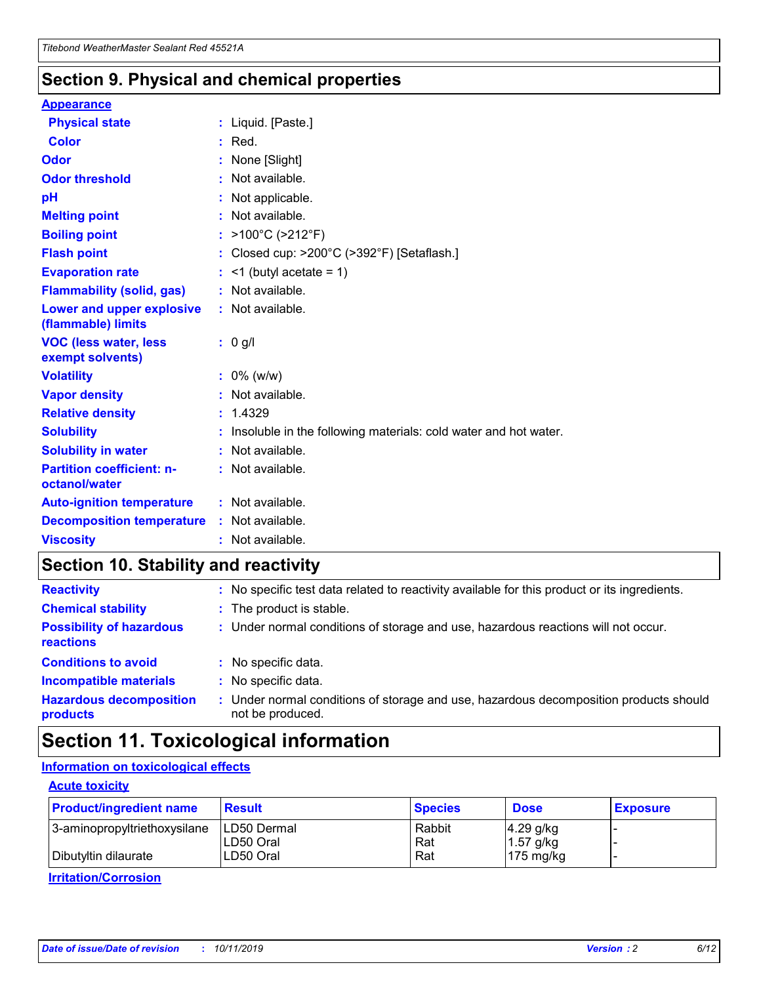### **Section 9. Physical and chemical properties**

#### **Appearance**

| <b>Physical state</b>                             | : Liquid. [Paste.]                                              |
|---------------------------------------------------|-----------------------------------------------------------------|
| <b>Color</b>                                      | $:$ Red.                                                        |
| Odor                                              | : None [Slight]                                                 |
| <b>Odor threshold</b>                             | : Not available.                                                |
| pH                                                | : Not applicable.                                               |
| <b>Melting point</b>                              | : Not available.                                                |
| <b>Boiling point</b>                              | : $>100^{\circ}$ C ( $>212^{\circ}$ F)                          |
| <b>Flash point</b>                                | : Closed cup: $>200^{\circ}$ C ( $>392^{\circ}$ F) [Setaflash.] |
| <b>Evaporation rate</b>                           | $:$ <1 (butyl acetate = 1)                                      |
| <b>Flammability (solid, gas)</b>                  | : Not available.                                                |
| Lower and upper explosive<br>(flammable) limits   | : Not available.                                                |
| <b>VOC (less water, less)</b><br>exempt solvents) | $: 0$ g/l                                                       |
| <b>Volatility</b>                                 | $: 0\%$ (w/w)                                                   |
| <b>Vapor density</b>                              | : Not available.                                                |
| <b>Relative density</b>                           | : 1.4329                                                        |
| <b>Solubility</b>                                 | Insoluble in the following materials: cold water and hot water. |
| <b>Solubility in water</b>                        | : Not available.                                                |
| <b>Partition coefficient: n-</b><br>octanol/water | : Not available.                                                |
| <b>Auto-ignition temperature</b>                  | $:$ Not available.                                              |
| <b>Decomposition temperature</b>                  | : Not available.                                                |
| <b>Viscosity</b>                                  | : Not available.                                                |

### **Section 10. Stability and reactivity**

| <b>Reactivity</b>                            | : No specific test data related to reactivity available for this product or its ingredients.            |
|----------------------------------------------|---------------------------------------------------------------------------------------------------------|
| <b>Chemical stability</b>                    | : The product is stable.                                                                                |
| <b>Possibility of hazardous</b><br>reactions | : Under normal conditions of storage and use, hazardous reactions will not occur.                       |
| <b>Conditions to avoid</b>                   | : No specific data.                                                                                     |
| <b>Incompatible materials</b>                | : No specific data.                                                                                     |
| <b>Hazardous decomposition</b><br>products   | Under normal conditions of storage and use, hazardous decomposition products should<br>not be produced. |

### **Section 11. Toxicological information**

### **Information on toxicological effects**

#### **Acute toxicity**

| <b>Product/ingredient name</b> | <b>Result</b>           | <b>Species</b> | <b>Dose</b>                | <b>Exposure</b> |
|--------------------------------|-------------------------|----------------|----------------------------|-----------------|
| 3-aminopropyltriethoxysilane   | <b>ILD50 Dermal</b>     | Rabbit         | 4.29 g/kg                  |                 |
| Dibutyltin dilaurate           | ILD50 Oral<br>LD50 Oral | Rat<br>Rat     | $1.57$ g/kg<br>175 $mg/kg$ |                 |
|                                |                         |                |                            |                 |

**Irritation/Corrosion**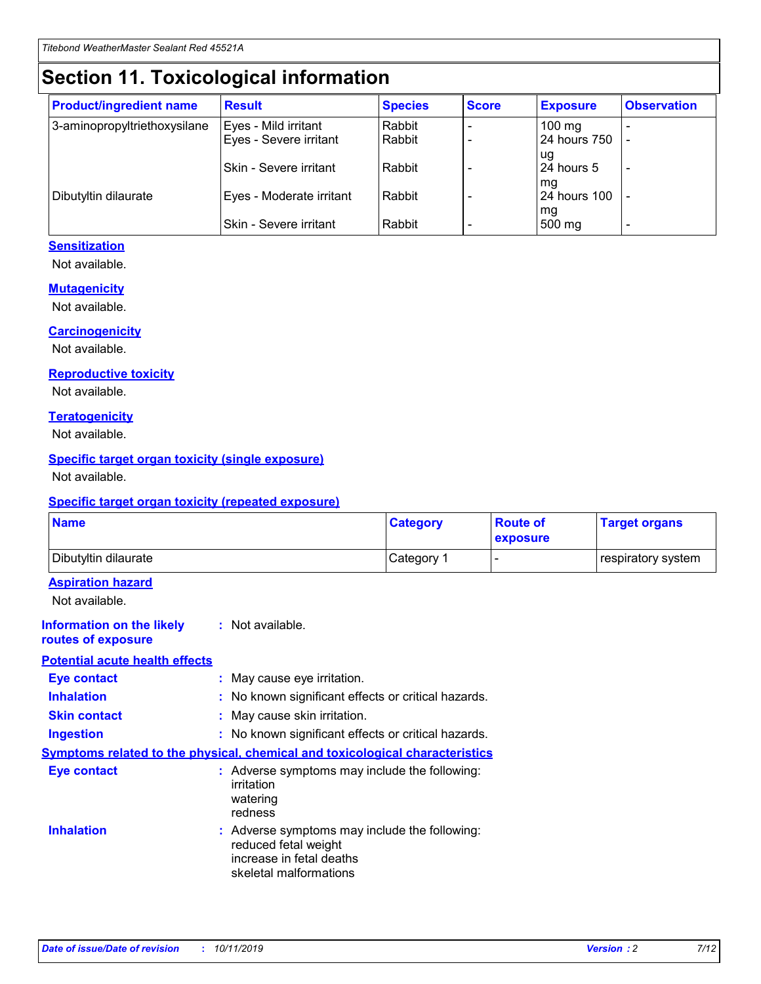## **Section 11. Toxicological information**

| <b>Product/ingredient name</b> | <b>Result</b>                 | <b>Species</b> | <b>Score</b> | <b>Exposure</b>    | <b>Observation</b> |
|--------------------------------|-------------------------------|----------------|--------------|--------------------|--------------------|
| 3-aminopropyltriethoxysilane   | Eyes - Mild irritant          | Rabbit         |              | $100$ mg           |                    |
|                                | Eyes - Severe irritant        | Rabbit         |              | 24 hours 750       |                    |
|                                |                               |                |              | ug                 |                    |
|                                | <b>Skin - Severe irritant</b> | Rabbit         |              | 24 hours 5         | ۰                  |
| Dibutyltin dilaurate           | Eyes - Moderate irritant      | Rabbit         |              | mq<br>24 hours 100 |                    |
|                                |                               |                |              | mg                 |                    |
|                                | Skin - Severe irritant        | Rabbit         |              | 500 mg             |                    |

#### **Sensitization**

Not available.

#### **Mutagenicity**

Not available.

#### **Carcinogenicity**

Not available.

#### **Reproductive toxicity**

Not available.

#### **Teratogenicity**

Not available.

#### **Specific target organ toxicity (single exposure)**

Not available.

#### **Specific target organ toxicity (repeated exposure)**

| <b>Name</b>                                                                  |                                                                                                                             | <b>Category</b> | <b>Route of</b><br>exposure  | <b>Target organs</b> |
|------------------------------------------------------------------------------|-----------------------------------------------------------------------------------------------------------------------------|-----------------|------------------------------|----------------------|
| Dibutyltin dilaurate                                                         |                                                                                                                             | Category 1      | $\qquad \qquad \blacksquare$ | respiratory system   |
| <b>Aspiration hazard</b><br>Not available.                                   |                                                                                                                             |                 |                              |                      |
| <b>Information on the likely</b><br>routes of exposure                       | : Not available.                                                                                                            |                 |                              |                      |
| <b>Potential acute health effects</b>                                        |                                                                                                                             |                 |                              |                      |
| <b>Eye contact</b>                                                           | : May cause eye irritation.                                                                                                 |                 |                              |                      |
| <b>Inhalation</b>                                                            | : No known significant effects or critical hazards.                                                                         |                 |                              |                      |
| <b>Skin contact</b>                                                          | : May cause skin irritation.                                                                                                |                 |                              |                      |
| <b>Ingestion</b>                                                             | : No known significant effects or critical hazards.                                                                         |                 |                              |                      |
| Symptoms related to the physical, chemical and toxicological characteristics |                                                                                                                             |                 |                              |                      |
| <b>Eye contact</b>                                                           | : Adverse symptoms may include the following:<br>irritation<br>watering<br>redness                                          |                 |                              |                      |
| <b>Inhalation</b>                                                            | : Adverse symptoms may include the following:<br>reduced fetal weight<br>increase in fetal deaths<br>skeletal malformations |                 |                              |                      |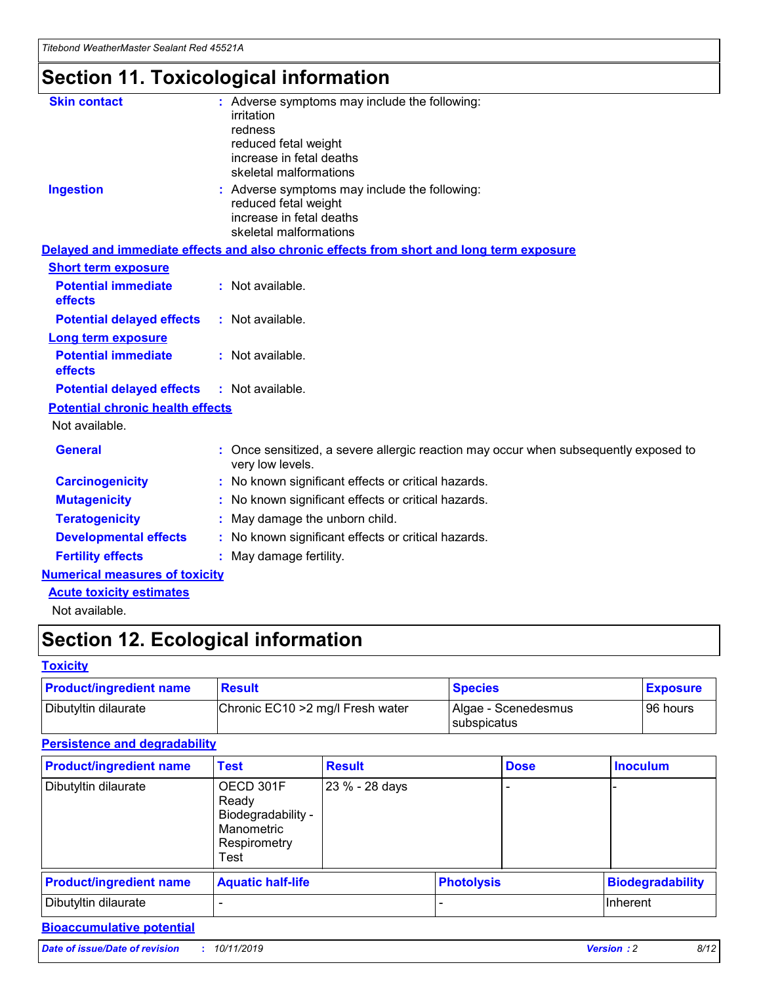## **Section 11. Toxicological information**

| <b>Skin contact</b>                     | : Adverse symptoms may include the following:<br>irritation<br>redness<br>reduced fetal weight<br>increase in fetal deaths<br>skeletal malformations |
|-----------------------------------------|------------------------------------------------------------------------------------------------------------------------------------------------------|
| <b>Ingestion</b>                        | : Adverse symptoms may include the following:<br>reduced fetal weight<br>increase in fetal deaths<br>skeletal malformations                          |
|                                         | Delayed and immediate effects and also chronic effects from short and long term exposure                                                             |
| <b>Short term exposure</b>              |                                                                                                                                                      |
| <b>Potential immediate</b><br>effects   | : Not available.                                                                                                                                     |
| <b>Potential delayed effects</b>        | : Not available.                                                                                                                                     |
| <b>Long term exposure</b>               |                                                                                                                                                      |
| <b>Potential immediate</b><br>effects   | : Not available.                                                                                                                                     |
| <b>Potential delayed effects</b>        | : Not available.                                                                                                                                     |
| <b>Potential chronic health effects</b> |                                                                                                                                                      |
| Not available.                          |                                                                                                                                                      |
| <b>General</b>                          | : Once sensitized, a severe allergic reaction may occur when subsequently exposed to<br>very low levels.                                             |
| <b>Carcinogenicity</b>                  | : No known significant effects or critical hazards.                                                                                                  |
| <b>Mutagenicity</b>                     | No known significant effects or critical hazards.                                                                                                    |
| <b>Teratogenicity</b>                   | May damage the unborn child.                                                                                                                         |
| <b>Developmental effects</b>            | No known significant effects or critical hazards.                                                                                                    |
| <b>Fertility effects</b>                | : May damage fertility.                                                                                                                              |
| <b>Numerical measures of toxicity</b>   |                                                                                                                                                      |
| <b>Acute toxicity estimates</b>         |                                                                                                                                                      |
|                                         |                                                                                                                                                      |

Not available.

## **Section 12. Ecological information**

#### **Toxicity**

| <b>Product/ingredient name</b> | <b>Result</b>                     | <b>Species</b>                       | <b>Exposure</b> |
|--------------------------------|-----------------------------------|--------------------------------------|-----------------|
| Dibutyltin dilaurate           | Chronic EC10 > 2 mg/l Fresh water | Algae - Scenedesmus<br>I subspicatus | l 96 hours i    |

### **Persistence and degradability**

| <b>Product/ingredient name</b> | <b>Test</b>                                                                    | <b>Result</b>  |                   | <b>Dose</b> | <b>Inoculum</b>         |
|--------------------------------|--------------------------------------------------------------------------------|----------------|-------------------|-------------|-------------------------|
| Dibutyltin dilaurate           | OECD 301F<br>Ready<br>Biodegradability -<br>Manometric<br>Respirometry<br>Test | 23 % - 28 days |                   |             |                         |
| <b>Product/ingredient name</b> | <b>Aquatic half-life</b>                                                       |                | <b>Photolysis</b> |             | <b>Biodegradability</b> |
| Dibutyltin dilaurate           |                                                                                |                |                   |             | Inherent                |

### **Bioaccumulative potential**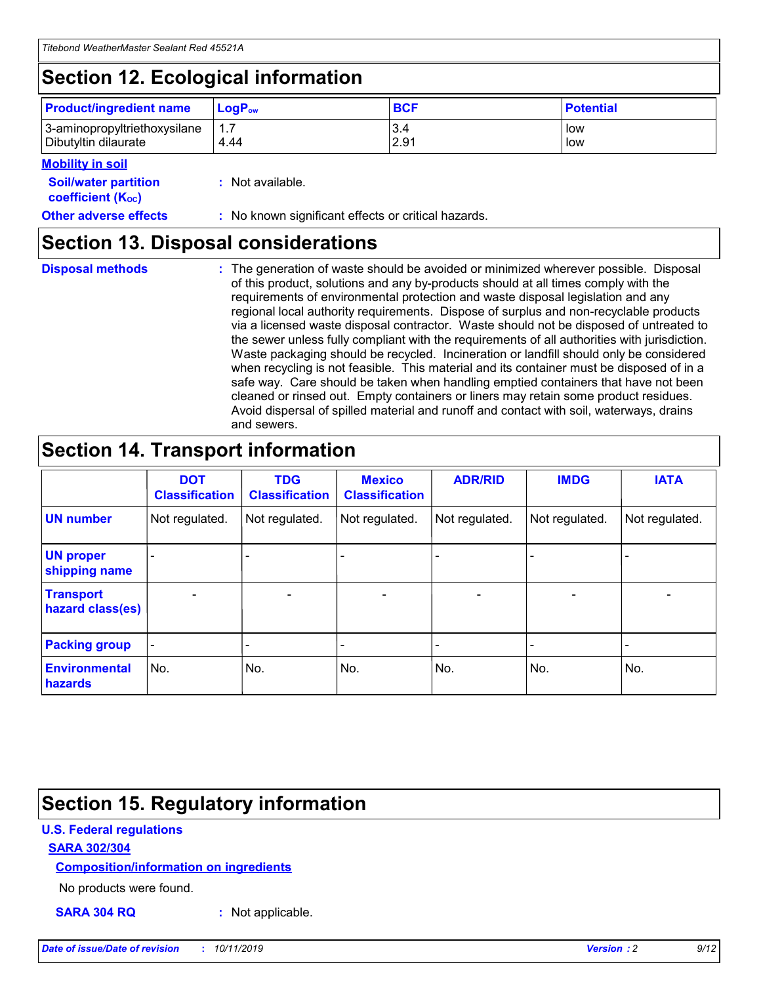## **Section 12. Ecological information**

| <b>Product/ingredient name</b>                       | ∣LoqP <sub>ow</sub> | <b>BCF</b>  | <b>Potential</b> |
|------------------------------------------------------|---------------------|-------------|------------------|
| 3-aminopropyltriethoxysilane<br>Dibutyltin dilaurate | 4.44                | 3.4<br>2.91 | low<br>low       |

#### **Mobility in soil**

| <i></i>                                                       |                                                     |
|---------------------------------------------------------------|-----------------------------------------------------|
| <b>Soil/water partition</b><br>coefficient (K <sub>oc</sub> ) | : Not available.                                    |
| <b>Other adverse effects</b>                                  | : No known significant effects or critical hazards. |

### **Section 13. Disposal considerations**

**Disposal methods :**

The generation of waste should be avoided or minimized wherever possible. Disposal of this product, solutions and any by-products should at all times comply with the requirements of environmental protection and waste disposal legislation and any regional local authority requirements. Dispose of surplus and non-recyclable products via a licensed waste disposal contractor. Waste should not be disposed of untreated to the sewer unless fully compliant with the requirements of all authorities with jurisdiction. Waste packaging should be recycled. Incineration or landfill should only be considered when recycling is not feasible. This material and its container must be disposed of in a safe way. Care should be taken when handling emptied containers that have not been cleaned or rinsed out. Empty containers or liners may retain some product residues. Avoid dispersal of spilled material and runoff and contact with soil, waterways, drains and sewers.

## **Section 14. Transport information**

|                                      | <b>DOT</b><br><b>Classification</b> | <b>TDG</b><br><b>Classification</b> | <b>Mexico</b><br><b>Classification</b> | <b>ADR/RID</b> | <b>IMDG</b>              | <b>IATA</b>              |
|--------------------------------------|-------------------------------------|-------------------------------------|----------------------------------------|----------------|--------------------------|--------------------------|
| <b>UN number</b>                     | Not regulated.                      | Not regulated.                      | Not regulated.                         | Not regulated. | Not regulated.           | Not regulated.           |
| <b>UN proper</b><br>shipping name    | $\blacksquare$                      |                                     |                                        |                |                          |                          |
| <b>Transport</b><br>hazard class(es) | $\blacksquare$                      | $\overline{\phantom{a}}$            | $\blacksquare$                         | $\blacksquare$ | $\overline{\phantom{a}}$ | $\overline{\phantom{0}}$ |
| <b>Packing group</b>                 | $\overline{\phantom{a}}$            | $\overline{\phantom{0}}$            | $\overline{\phantom{a}}$               | -              | $\overline{\phantom{0}}$ | $\overline{\phantom{a}}$ |
| <b>Environmental</b><br>hazards      | No.                                 | No.                                 | No.                                    | No.            | No.                      | No.                      |

## **Section 15. Regulatory information**

#### **U.S. Federal regulations**

#### **SARA 302/304**

#### **Composition/information on ingredients**

No products were found.

**SARA 304 RQ :** Not applicable.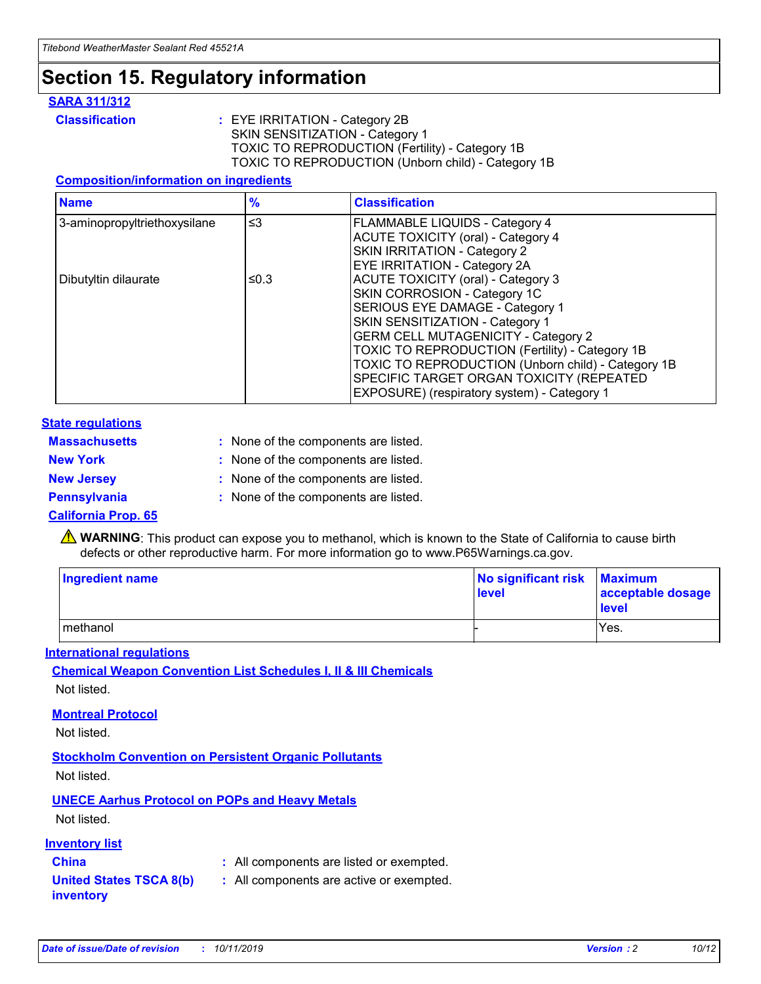## **Section 15. Regulatory information**

#### **SARA 311/312**

**Classification :** EYE IRRITATION - Category 2B SKIN SENSITIZATION - Category 1 TOXIC TO REPRODUCTION (Fertility) - Category 1B TOXIC TO REPRODUCTION (Unborn child) - Category 1B

#### **Composition/information on ingredients**

| <b>Name</b>                  | $\frac{9}{6}$ | <b>Classification</b>                                                                                            |
|------------------------------|---------------|------------------------------------------------------------------------------------------------------------------|
| 3-aminopropyltriethoxysilane | $\leq$ 3      | <b>FLAMMABLE LIQUIDS - Category 4</b><br><b>ACUTE TOXICITY (oral) - Category 4</b>                               |
|                              |               | SKIN IRRITATION - Category 2<br>EYE IRRITATION - Category 2A                                                     |
| Dibutyltin dilaurate         | ≤0.3          | ACUTE TOXICITY (oral) - Category 3<br>SKIN CORROSION - Category 1C                                               |
|                              |               | SERIOUS EYE DAMAGE - Category 1<br>SKIN SENSITIZATION - Category 1<br><b>GERM CELL MUTAGENICITY - Category 2</b> |
|                              |               | TOXIC TO REPRODUCTION (Fertility) - Category 1B<br>TOXIC TO REPRODUCTION (Unborn child) - Category 1B            |
|                              |               | SPECIFIC TARGET ORGAN TOXICITY (REPEATED<br>EXPOSURE) (respiratory system) - Category 1                          |

#### **State regulations**

| <b>Massachusetts</b> | : None of the components are listed. |
|----------------------|--------------------------------------|
| <b>New York</b>      | : None of the components are listed. |
| <b>New Jersey</b>    | : None of the components are listed. |
| <b>Pennsylvania</b>  | : None of the components are listed. |

#### **California Prop. 65**

**A** WARNING: This product can expose you to methanol, which is known to the State of California to cause birth defects or other reproductive harm. For more information go to www.P65Warnings.ca.gov.

| <b>Ingredient name</b> | No significant risk Maximum<br>level | acceptable dosage<br>level |
|------------------------|--------------------------------------|----------------------------|
| methanol               |                                      | Yes.                       |

#### **International regulations**

**Chemical Weapon Convention List Schedules I, II & III Chemicals** Not listed.

#### **Montreal Protocol**

Not listed.

**Stockholm Convention on Persistent Organic Pollutants**

Not listed.

### **UNECE Aarhus Protocol on POPs and Heavy Metals**

Not listed.

#### **Inventory list**

### **China :** All components are listed or exempted.

**United States TSCA 8(b) inventory :** All components are active or exempted.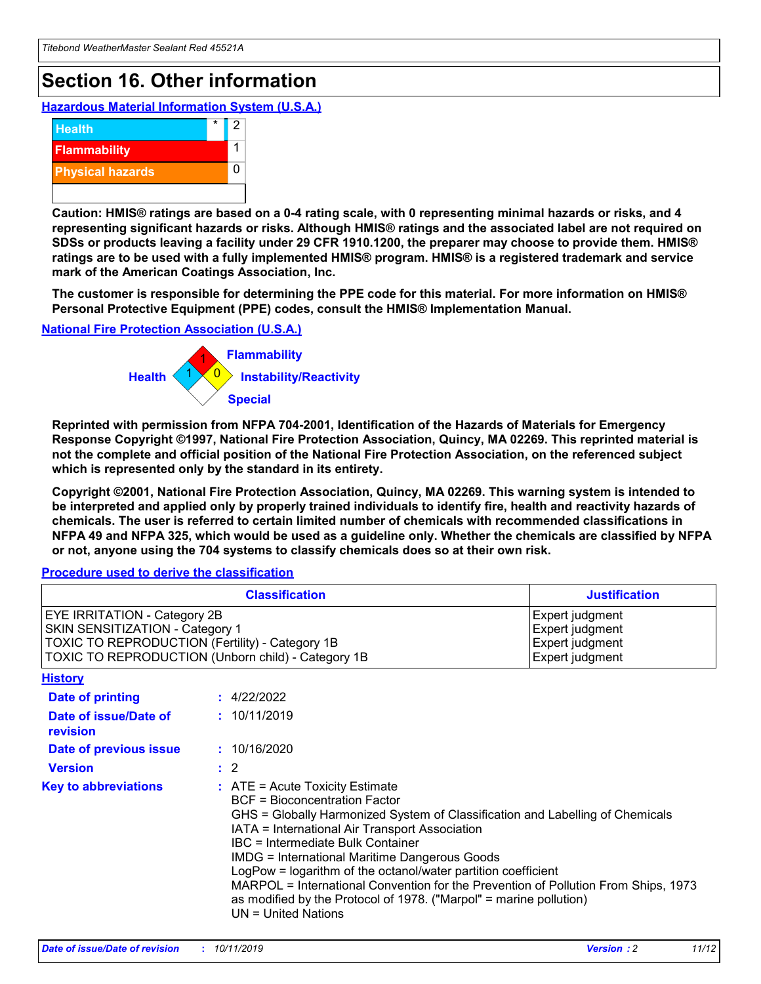## **Section 16. Other information**

**Hazardous Material Information System (U.S.A.)**



**Caution: HMIS® ratings are based on a 0-4 rating scale, with 0 representing minimal hazards or risks, and 4 representing significant hazards or risks. Although HMIS® ratings and the associated label are not required on SDSs or products leaving a facility under 29 CFR 1910.1200, the preparer may choose to provide them. HMIS® ratings are to be used with a fully implemented HMIS® program. HMIS® is a registered trademark and service mark of the American Coatings Association, Inc.**

**The customer is responsible for determining the PPE code for this material. For more information on HMIS® Personal Protective Equipment (PPE) codes, consult the HMIS® Implementation Manual.**

#### **National Fire Protection Association (U.S.A.)**



**Reprinted with permission from NFPA 704-2001, Identification of the Hazards of Materials for Emergency Response Copyright ©1997, National Fire Protection Association, Quincy, MA 02269. This reprinted material is not the complete and official position of the National Fire Protection Association, on the referenced subject which is represented only by the standard in its entirety.**

**Copyright ©2001, National Fire Protection Association, Quincy, MA 02269. This warning system is intended to be interpreted and applied only by properly trained individuals to identify fire, health and reactivity hazards of chemicals. The user is referred to certain limited number of chemicals with recommended classifications in NFPA 49 and NFPA 325, which would be used as a guideline only. Whether the chemicals are classified by NFPA or not, anyone using the 704 systems to classify chemicals does so at their own risk.**

#### **Procedure used to derive the classification**

| <b>Classification</b>                                                                                                                                                                  |                                                                                                                                                                                                                                                                   | <b>Justification</b>                                                                                                                                                                                                                                                                                       |  |
|----------------------------------------------------------------------------------------------------------------------------------------------------------------------------------------|-------------------------------------------------------------------------------------------------------------------------------------------------------------------------------------------------------------------------------------------------------------------|------------------------------------------------------------------------------------------------------------------------------------------------------------------------------------------------------------------------------------------------------------------------------------------------------------|--|
| <b>EYE IRRITATION - Category 2B</b><br>SKIN SENSITIZATION - Category 1<br><b>TOXIC TO REPRODUCTION (Fertility) - Category 1B</b><br>TOXIC TO REPRODUCTION (Unborn child) - Category 1B |                                                                                                                                                                                                                                                                   | Expert judgment<br>Expert judgment<br>Expert judgment<br>Expert judgment                                                                                                                                                                                                                                   |  |
| <b>History</b>                                                                                                                                                                         |                                                                                                                                                                                                                                                                   |                                                                                                                                                                                                                                                                                                            |  |
| <b>Date of printing</b>                                                                                                                                                                | : 4/22/2022                                                                                                                                                                                                                                                       |                                                                                                                                                                                                                                                                                                            |  |
| Date of issue/Date of<br>revision                                                                                                                                                      | : 10/11/2019                                                                                                                                                                                                                                                      |                                                                                                                                                                                                                                                                                                            |  |
| Date of previous issue                                                                                                                                                                 | : 10/16/2020                                                                                                                                                                                                                                                      |                                                                                                                                                                                                                                                                                                            |  |
| <b>Version</b>                                                                                                                                                                         | $\therefore$ 2                                                                                                                                                                                                                                                    |                                                                                                                                                                                                                                                                                                            |  |
| <b>Key to abbreviations</b>                                                                                                                                                            | $\therefore$ ATE = Acute Toxicity Estimate<br><b>BCF</b> = Bioconcentration Factor<br>IATA = International Air Transport Association<br><b>IBC</b> = Intermediate Bulk Container<br><b>IMDG = International Maritime Dangerous Goods</b><br>$UN = United Nations$ | GHS = Globally Harmonized System of Classification and Labelling of Chemicals<br>LogPow = logarithm of the octanol/water partition coefficient<br>MARPOL = International Convention for the Prevention of Pollution From Ships, 1973<br>as modified by the Protocol of 1978. ("Marpol" = marine pollution) |  |